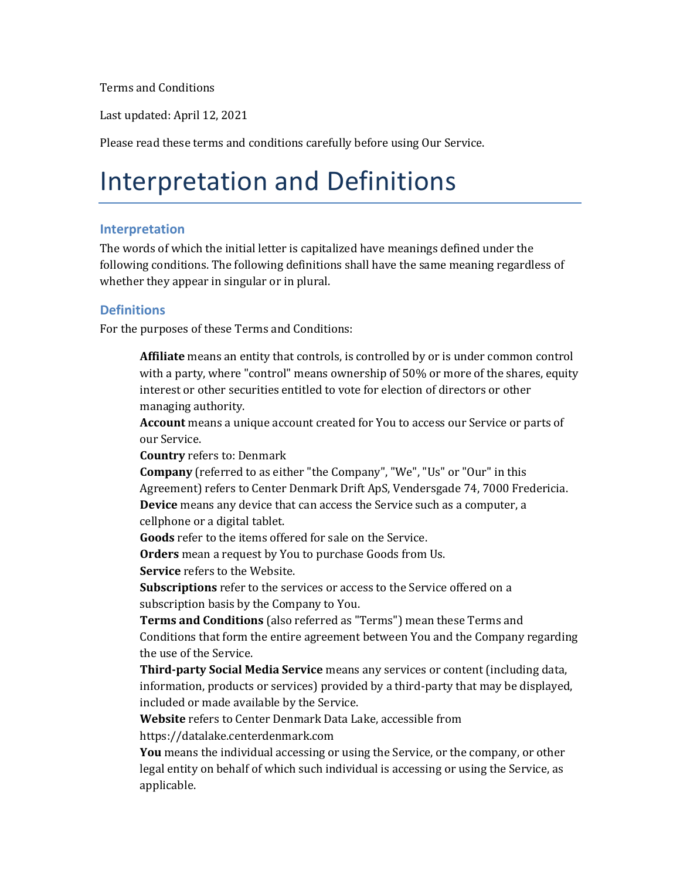Terms and Conditions

Last updated: April 12, 2021

Please read these terms and conditions carefully before using Our Service.

### Interpretation and Definitions

#### **Interpretation**

The words of which the initial letter is capitalized have meanings defined under the following conditions. The following definitions shall have the same meaning regardless of whether they appear in singular or in plural.

#### **Definitions**

For the purposes of these Terms and Conditions:

**Affiliate** means an entity that controls, is controlled by or is under common control with a party, where "control" means ownership of 50% or more of the shares, equity interest or other securities entitled to vote for election of directors or other managing authority.

**Account** means a unique account created for You to access our Service or parts of our Service.

**Country** refers to: Denmark

**Company** (referred to as either "the Company", "We", "Us" or "Our" in this Agreement) refers to Center Denmark Drift ApS, Vendersgade 74, 7000 Fredericia. **Device** means any device that can access the Service such as a computer, a cellphone or a digital tablet.

**Goods** refer to the items offered for sale on the Service.

**Orders** mean a request by You to purchase Goods from Us.

**Service** refers to the Website.

**Subscriptions** refer to the services or access to the Service offered on a subscription basis by the Company to You.

**Terms and Conditions** (also referred as "Terms") mean these Terms and Conditions that form the entire agreement between You and the Company regarding the use of the Service.

**Third-party Social Media Service** means any services or content (including data, information, products or services) provided by a third-party that may be displayed, included or made available by the Service.

**Website** refers to Center Denmark Data Lake, accessible from

[https://datalake.centerdenmark.com](https://datalake.centerdenmark.com/)

**You** means the individual accessing or using the Service, or the company, or other legal entity on behalf of which such individual is accessing or using the Service, as applicable.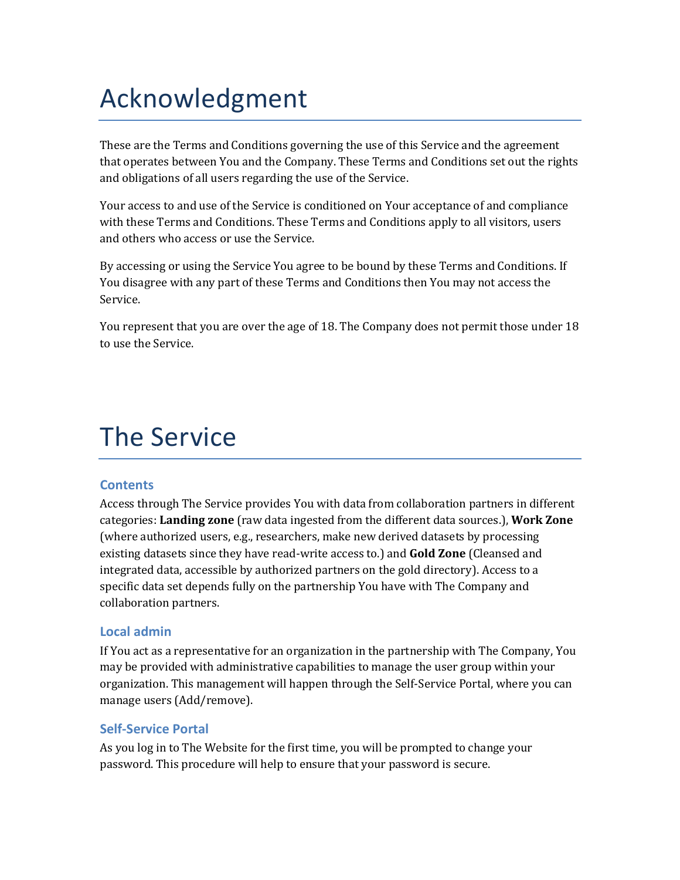## Acknowledgment

These are the Terms and Conditions governing the use of this Service and the agreement that operates between You and the Company. These Terms and Conditions set out the rights and obligations of all users regarding the use of the Service.

Your access to and use of the Service is conditioned on Your acceptance of and compliance with these Terms and Conditions. These Terms and Conditions apply to all visitors, users and others who access or use the Service.

By accessing or using the Service You agree to be bound by these Terms and Conditions. If You disagree with any part of these Terms and Conditions then You may not access the Service.

You represent that you are over the age of 18. The Company does not permit those under 18 to use the Service.

## The Service

### **Contents**

Access through The Service provides You with data from collaboration partners in different categories: **Landing zone** (raw data ingested from the different data sources.), **Work Zone** (where authorized users, e.g., researchers, make new derived datasets by processing existing datasets since they have read-write access to.) and **Gold Zone** (Cleansed and integrated data, accessible by authorized partners on the gold directory). Access to a specific data set depends fully on the partnership You have with The Company and collaboration partners.

### **Local admin**

If You act as a representative for an organization in the partnership with The Company, You may be provided with administrative capabilities to manage the user group within your organization. This management will happen through the Self-Service Portal, where you can manage users (Add/remove).

### **Self-Service Portal**

As you log in to The Website for the first time, you will be prompted to change your password. This procedure will help to ensure that your password is secure.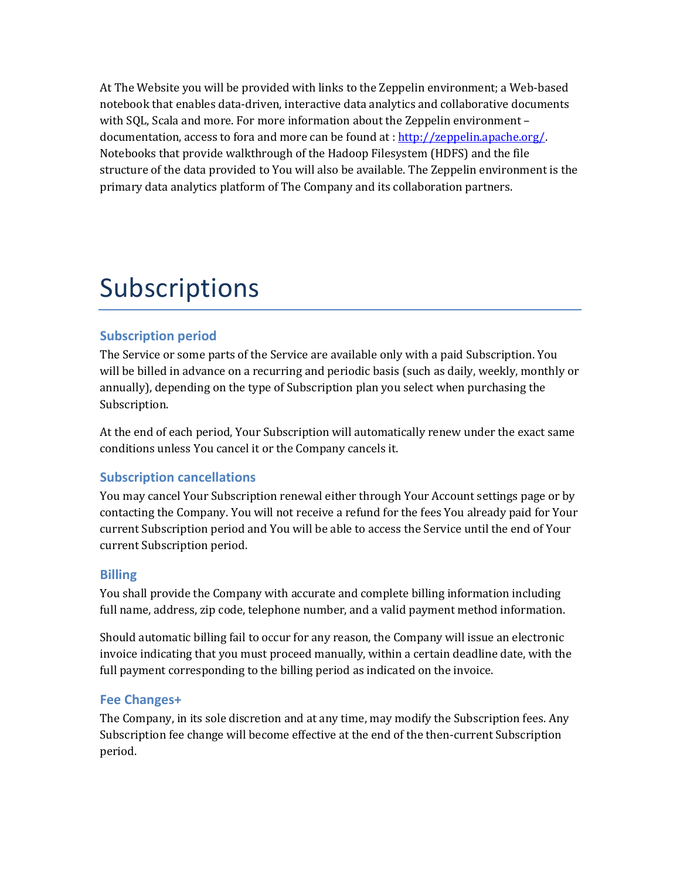At The Website you will be provided with links to the Zeppelin environment; a Web-based notebook that enables data-driven, interactive data analytics and collaborative documents with SQL, Scala and more. For more information about the Zeppelin environment – documentation, access to fora and more can be found at [: http://zeppelin.apache.org/.](http://zeppelin.apache.org/) Notebooks that provide walkthrough of the Hadoop Filesystem (HDFS) and the file structure of the data provided to You will also be available. The Zeppelin environment is the primary data analytics platform of The Company and its collaboration partners.

## Subscriptions

### **Subscription period**

The Service or some parts of the Service are available only with a paid Subscription. You will be billed in advance on a recurring and periodic basis (such as daily, weekly, monthly or annually), depending on the type of Subscription plan you select when purchasing the Subscription.

At the end of each period, Your Subscription will automatically renew under the exact same conditions unless You cancel it or the Company cancels it.

### **Subscription cancellations**

You may cancel Your Subscription renewal either through Your Account settings page or by contacting the Company. You will not receive a refund for the fees You already paid for Your current Subscription period and You will be able to access the Service until the end of Your current Subscription period.

### **Billing**

You shall provide the Company with accurate and complete billing information including full name, address, zip code, telephone number, and a valid payment method information.

Should automatic billing fail to occur for any reason, the Company will issue an electronic invoice indicating that you must proceed manually, within a certain deadline date, with the full payment corresponding to the billing period as indicated on the invoice.

### **Fee Changes+**

The Company, in its sole discretion and at any time, may modify the Subscription fees. Any Subscription fee change will become effective at the end of the then-current Subscription period.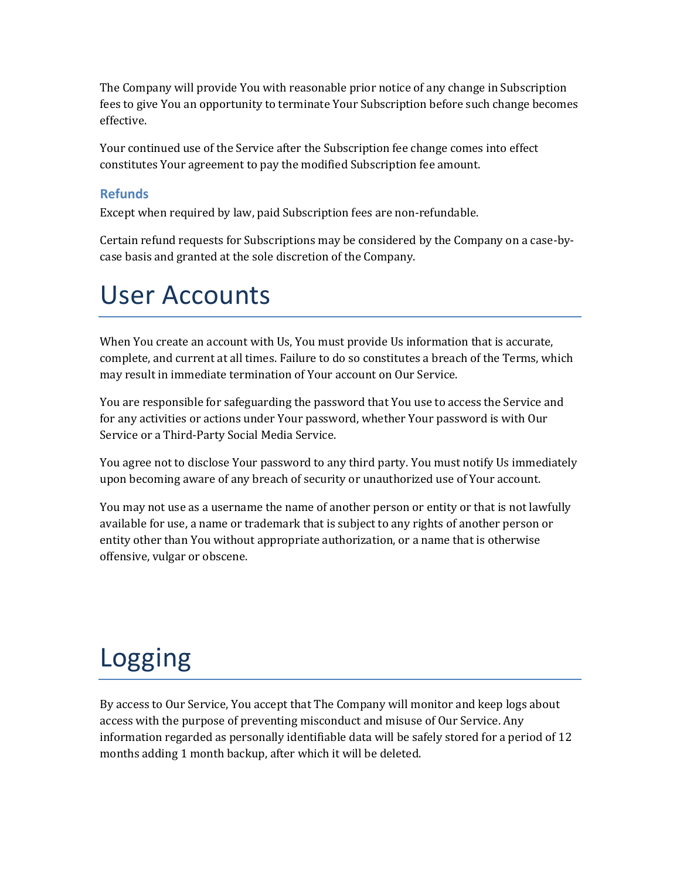The Company will provide You with reasonable prior notice of any change in Subscription fees to give You an opportunity to terminate Your Subscription before such change becomes effective.

Your continued use of the Service after the Subscription fee change comes into effect constitutes Your agreement to pay the modified Subscription fee amount.

### **Refunds**

Except when required by law, paid Subscription fees are non-refundable.

Certain refund requests for Subscriptions may be considered by the Company on a case-bycase basis and granted at the sole discretion of the Company.

## User Accounts

When You create an account with Us, You must provide Us information that is accurate, complete, and current at all times. Failure to do so constitutes a breach of the Terms, which may result in immediate termination of Your account on Our Service.

You are responsible for safeguarding the password that You use to access the Service and for any activities or actions under Your password, whether Your password is with Our Service or a Third-Party Social Media Service.

You agree not to disclose Your password to any third party. You must notify Us immediately upon becoming aware of any breach of security or unauthorized use of Your account.

You may not use as a username the name of another person or entity or that is not lawfully available for use, a name or trademark that is subject to any rights of another person or entity other than You without appropriate authorization, or a name that is otherwise offensive, vulgar or obscene.

# Logging

By access to Our Service, You accept that The Company will monitor and keep logs about access with the purpose of preventing misconduct and misuse of Our Service. Any information regarded as personally identifiable data will be safely stored for a period of 12 months adding 1 month backup, after which it will be deleted.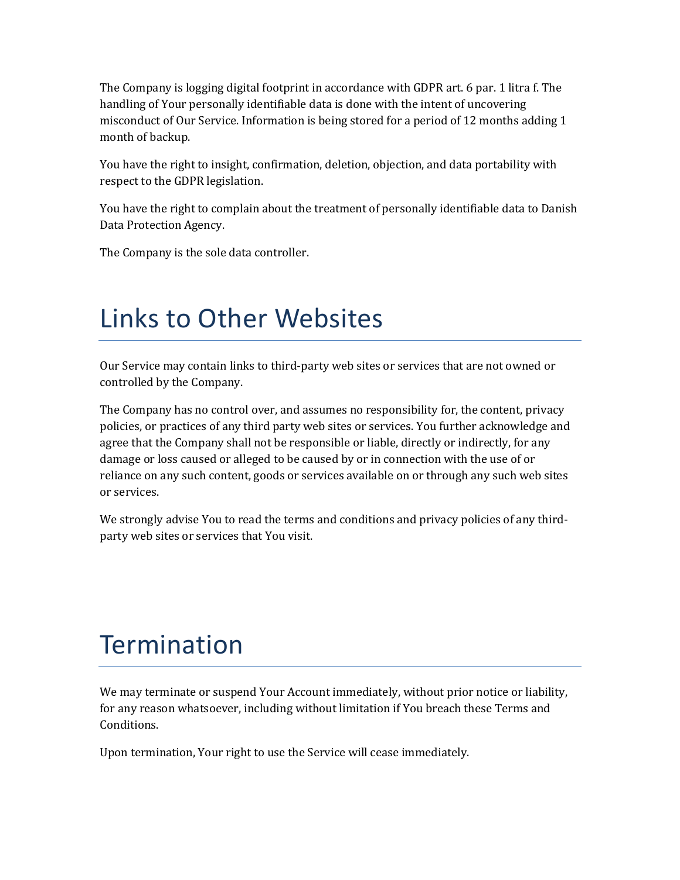The Company is logging digital footprint in accordance with GDPR art. 6 par. 1 litra f. The handling of Your personally identifiable data is done with the intent of uncovering misconduct of Our Service. Information is being stored for a period of 12 months adding 1 month of backup.

You have the right to insight, confirmation, deletion, objection, and data portability with respect to the GDPR legislation.

You have the right to complain about the treatment of personally identifiable data to Danish Data Protection Agency.

The Company is the sole data controller.

## Links to Other Websites

Our Service may contain links to third-party web sites or services that are not owned or controlled by the Company.

The Company has no control over, and assumes no responsibility for, the content, privacy policies, or practices of any third party web sites or services. You further acknowledge and agree that the Company shall not be responsible or liable, directly or indirectly, for any damage or loss caused or alleged to be caused by or in connection with the use of or reliance on any such content, goods or services available on or through any such web sites or services.

We strongly advise You to read the terms and conditions and privacy policies of any thirdparty web sites or services that You visit.

## **Termination**

We may terminate or suspend Your Account immediately, without prior notice or liability, for any reason whatsoever, including without limitation if You breach these Terms and Conditions.

Upon termination, Your right to use the Service will cease immediately.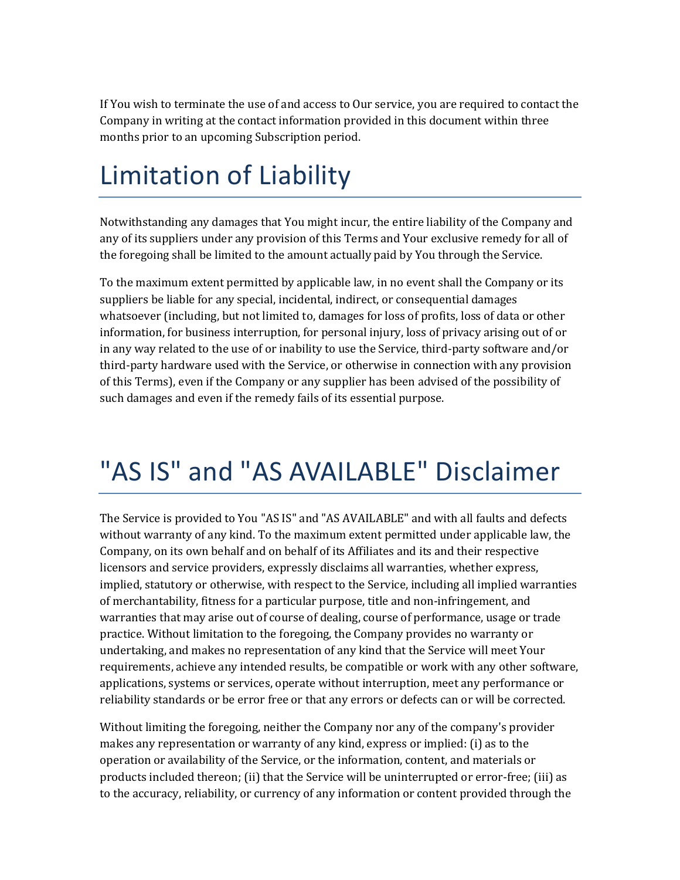If You wish to terminate the use of and access to Our service, you are required to contact the Company in writing at the contact information provided in this document within three months prior to an upcoming Subscription period.

# Limitation of Liability

Notwithstanding any damages that You might incur, the entire liability of the Company and any of its suppliers under any provision of this Terms and Your exclusive remedy for all of the foregoing shall be limited to the amount actually paid by You through the Service.

To the maximum extent permitted by applicable law, in no event shall the Company or its suppliers be liable for any special, incidental, indirect, or consequential damages whatsoever (including, but not limited to, damages for loss of profits, loss of data or other information, for business interruption, for personal injury, loss of privacy arising out of or in any way related to the use of or inability to use the Service, third-party software and/or third-party hardware used with the Service, or otherwise in connection with any provision of this Terms), even if the Company or any supplier has been advised of the possibility of such damages and even if the remedy fails of its essential purpose.

## "AS IS" and "AS AVAILABLE" Disclaimer

The Service is provided to You "AS IS" and "AS AVAILABLE" and with all faults and defects without warranty of any kind. To the maximum extent permitted under applicable law, the Company, on its own behalf and on behalf of its Affiliates and its and their respective licensors and service providers, expressly disclaims all warranties, whether express, implied, statutory or otherwise, with respect to the Service, including all implied warranties of merchantability, fitness for a particular purpose, title and non-infringement, and warranties that may arise out of course of dealing, course of performance, usage or trade practice. Without limitation to the foregoing, the Company provides no warranty or undertaking, and makes no representation of any kind that the Service will meet Your requirements, achieve any intended results, be compatible or work with any other software, applications, systems or services, operate without interruption, meet any performance or reliability standards or be error free or that any errors or defects can or will be corrected.

Without limiting the foregoing, neither the Company nor any of the company's provider makes any representation or warranty of any kind, express or implied: (i) as to the operation or availability of the Service, or the information, content, and materials or products included thereon; (ii) that the Service will be uninterrupted or error-free; (iii) as to the accuracy, reliability, or currency of any information or content provided through the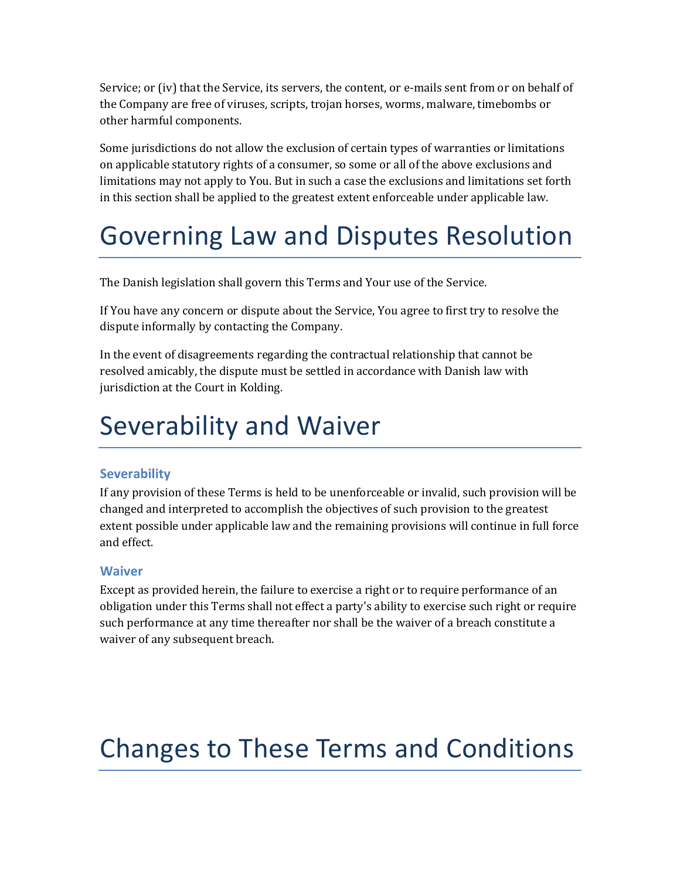Service; or (iv) that the Service, its servers, the content, or e-mails sent from or on behalf of the Company are free of viruses, scripts, trojan horses, worms, malware, timebombs or other harmful components.

Some jurisdictions do not allow the exclusion of certain types of warranties or limitations on applicable statutory rights of a consumer, so some or all of the above exclusions and limitations may not apply to You. But in such a case the exclusions and limitations set forth in this section shall be applied to the greatest extent enforceable under applicable law.

## Governing Law and Disputes Resolution

The Danish legislation shall govern this Terms and Your use of the Service.

If You have any concern or dispute about the Service, You agree to first try to resolve the dispute informally by contacting the Company.

In the event of disagreements regarding the contractual relationship that cannot be resolved amicably, the dispute must be settled in accordance with Danish law with jurisdiction at the Court in Kolding.

### Severability and Waiver

### **Severability**

If any provision of these Terms is held to be unenforceable or invalid, such provision will be changed and interpreted to accomplish the objectives of such provision to the greatest extent possible under applicable law and the remaining provisions will continue in full force and effect.

### **Waiver**

Except as provided herein, the failure to exercise a right or to require performance of an obligation under this Terms shall not effect a party's ability to exercise such right or require such performance at any time thereafter nor shall be the waiver of a breach constitute a waiver of any subsequent breach.

# Changes to These Terms and Conditions